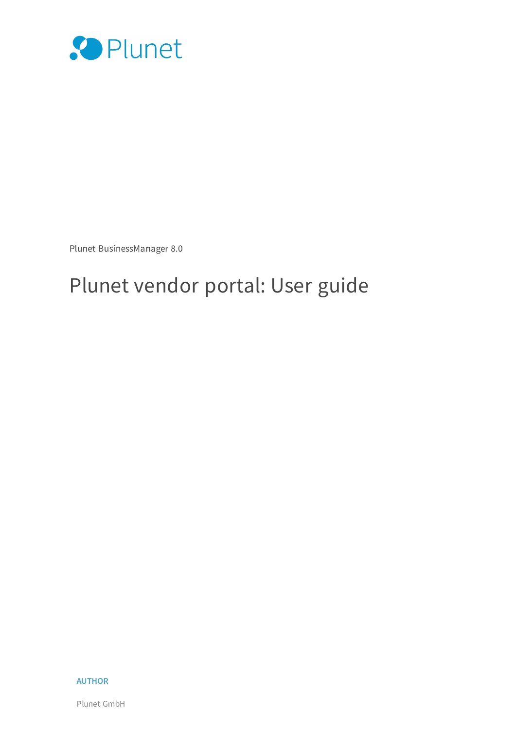

Plunet BusinessManager 8.0

## Plunet vendor portal: User guide

#### **AUTHOR**

Plunet GmbH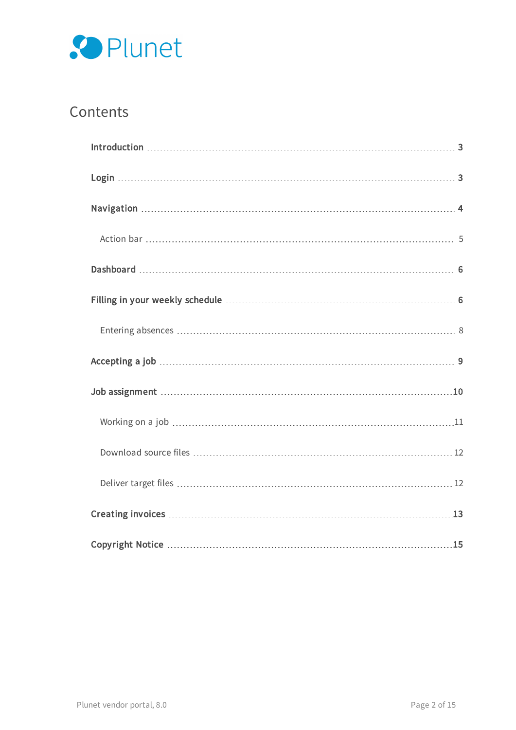

### **Contents**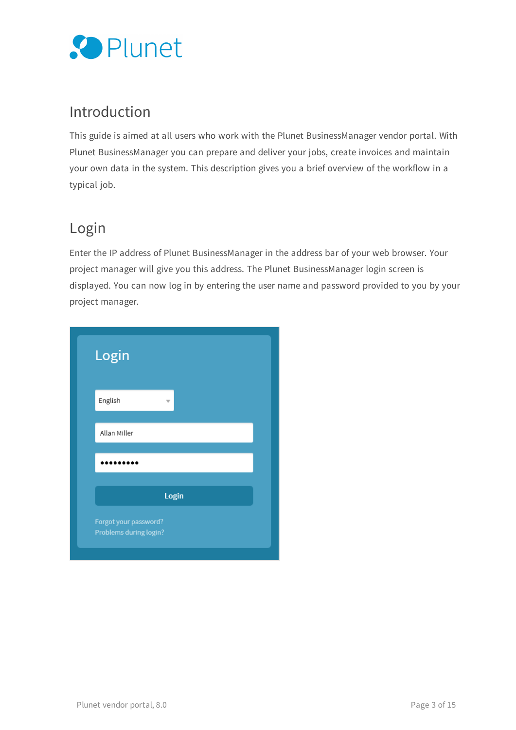

### <span id="page-2-0"></span>Introduction

This guide is aimed at all users who work with the Plunet BusinessManager vendor portal. With Plunet BusinessManager you can prepare and deliver your jobs, create invoices and maintain your own data in the system. This description gives you a brief overview of the workflow in a typical job.

### <span id="page-2-1"></span>Login

Enter the IP address of Plunet BusinessManager in the address bar of your web browser. Your project manager will give you this address. The Plunet BusinessManager login screen is displayed. You can now log in by entering the user name and password provided to you by your project manager.

| Login                                           |       |  |  |
|-------------------------------------------------|-------|--|--|
| English                                         | v     |  |  |
| Allan Miller                                    |       |  |  |
|                                                 |       |  |  |
|                                                 |       |  |  |
|                                                 | Login |  |  |
| Forgot your password?<br>Problems during login? |       |  |  |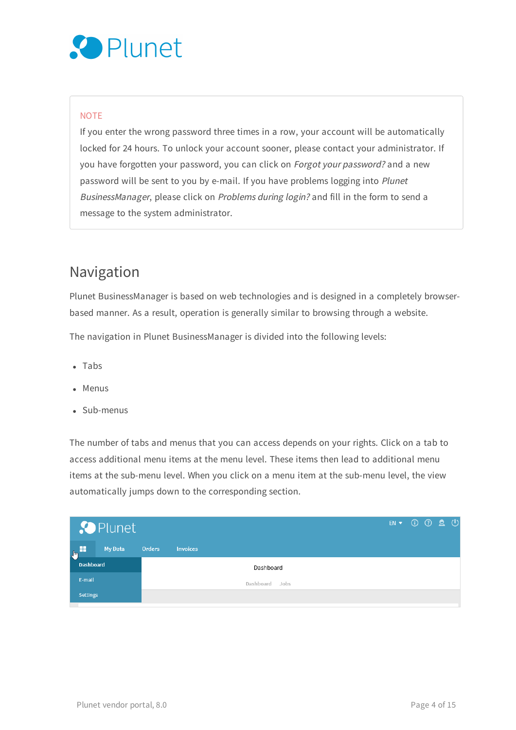# Plunet

#### **NOTE**

If you enter the wrong password three times in a row, your account will be automatically locked for 24 hours. To unlock your account sooner, please contact your administrator. If you have forgotten your password, you can click on Forgot your password? and a new password will be sent to you by e-mail. If you have problems logging into Plunet BusinessManager, please click on Problems during login? and fill in the form to send a message to the system administrator.

### <span id="page-3-0"></span>Navigation

Plunet BusinessManager is based on web technologies and is designed in a completely browserbased manner. As a result, operation is generally similar to browsing through a website.

The navigation in Plunet BusinessManager is divided into the following levels:

- $\bullet$  Tabs
- $M$ enus
- $\bullet$  Sub-menus

The number of tabs and menus that you can access depends on your rights. Click on a tab to access additional menu items at the menu level. These items then lead to additional menu items at the sub-menu level. When you click on a menu item at the sub-menu level, the view automatically jumps down to the corresponding section.

|                  | <b>Plunet</b> |        |                 |                |  | EN V ① ② Q ① |  |  |
|------------------|---------------|--------|-----------------|----------------|--|--------------|--|--|
| $\sqrt{2}$       | My Data       | Orders | <b>Invoices</b> |                |  |              |  |  |
| <b>Dashboard</b> |               |        |                 | Dashboard      |  |              |  |  |
| E-mail           |               |        |                 | Dashboard Jobs |  |              |  |  |
| <b>Settings</b>  |               |        |                 |                |  |              |  |  |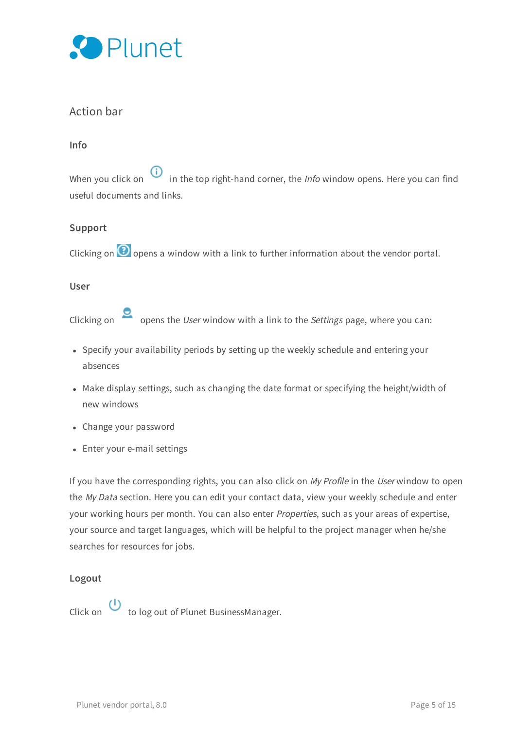

#### <span id="page-4-0"></span>Action bar

#### **Info**

When you click on  $\overline{\mathbf{0}}$  in the top right-hand corner, the *Info* window opens. Here you can find useful documents and links.

#### **Support**

Clicking on  $\odot$  opens a window with a link to further information about the vendor portal.

#### **User**

Clicking on  $\Box$  opens the User window with a link to the Settings page, where you can:

- Specify your availability periods by setting up the weekly schedule and entering your absences
- Make display settings, such as changing the date format or specifying the height/width of new windows
- Change your password
- Enter your e-mail settings

If you have the corresponding rights, you can also click on My Profile in the User window to open the My Data section. Here you can edit your contact data, view your weekly schedule and enter your working hours per month. You can also enter Properties, such as your areas of expertise, your source and target languages, which will be helpful to the project manager when he/she searches for resources for jobs.

#### **Logout**

<span id="page-4-1"></span>Click on  $\bigcup$  to log out of Plunet BusinessManager.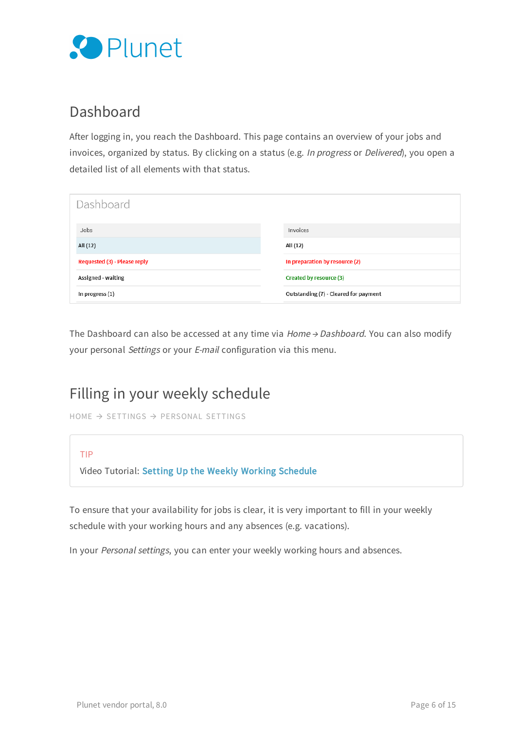

### Dashboard

After logging in, you reach the Dashboard. This page contains an overview of your jobs and invoices, organized by status. By clicking on a status (e.g. In progress or Delivered), you open a detailed list of all elements with that status.

| Dashboard                    |                                       |
|------------------------------|---------------------------------------|
| Jobs                         | Invoices                              |
| All (12)                     | All (12)                              |
| Requested (3) - Please reply | In preparation by resource (2)        |
| Assigned - waiting           | Created by resource (3)               |
| In progress (1)              | Outstanding (7) - Cleared for payment |

The Dashboard can also be accessed at any time via  $Home \rightarrow Dashboard$ . You can also modify your personal Settings or your E-mail configuration via this menu.

### <span id="page-5-0"></span>Filling in your weekly schedule

```
HOME → SETTINGS → PERSONAL SETTINGS
```
#### TIP

Video Tutorial: Setting Up the Weekly Working [Schedule](https://attendee.gotowebinar.com/recording/4427387389307067139)

To ensure that your availability for jobs is clear, it is very important to fill in your weekly schedule with your working hours and any absences (e.g. vacations).

In your Personal settings, you can enter your weekly working hours and absences.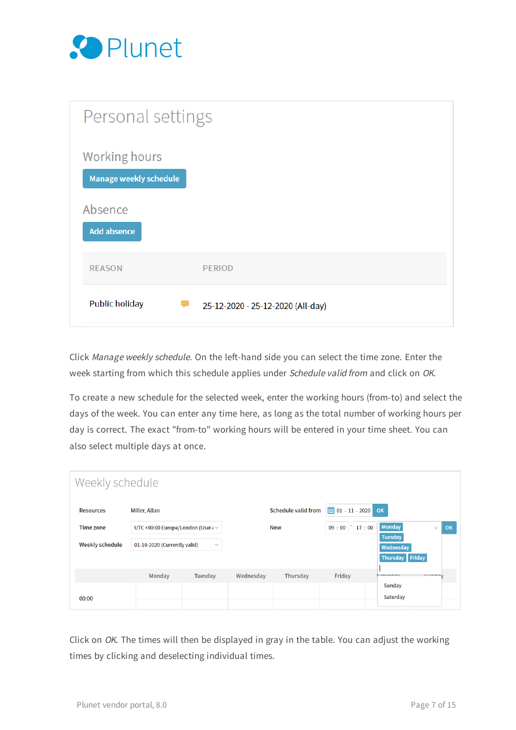

| Personal settings                              |                                   |
|------------------------------------------------|-----------------------------------|
| <b>Working hours</b><br>Manage weekly schedule |                                   |
| Absence<br><b>Add absence</b>                  |                                   |
| <b>REASON</b>                                  | <b>PERIOD</b>                     |
| <b>Public holiday</b>                          | 25-12-2020 - 25-12-2020 (All-day) |

Click Manage weekly schedule. On the left-hand side you can select the time zone. Enter the week starting from which this schedule applies under Schedule valid from and click on OK.

To create a new schedule for the selected week, enter the working hours (from-to) and select the days of the week. You can enter any time here, as long as the total number of working hours per day is correct. The exact "from-to" working hours will be entered in your time sheet. You can also select multiple days at once.

| Weekly schedule        |                                              |               |           |                            |                                |                                |    |
|------------------------|----------------------------------------------|---------------|-----------|----------------------------|--------------------------------|--------------------------------|----|
| <b>Resources</b>       | Miller, Allan                                |               |           | <b>Schedule valid from</b> | $\frac{1}{111}$ 01 - 11 - 2020 | OK                             |    |
| <b>Time zone</b>       | UTC +00:00 Europe/London (User $\ell$ $\vee$ |               |           | <b>New</b>                 | 17:00<br>09:00                 | <b>Monday</b><br>$\mathcal{S}$ | OK |
| <b>Weekly schedule</b> | 01-10-2020 (Currently valid)                 | $\mathcal{A}$ |           |                            |                                | <b>Tuesday</b><br>Wednesday    |    |
|                        |                                              |               |           |                            |                                | Thursday Friday                |    |
|                        | Monday                                       | Tuesday       | Wednesday | Thursday                   | Friday                         | <b>CAPILICAN</b><br>CIIMMAIL   |    |
| 00:00                  |                                              |               |           |                            |                                | Sunday<br>Saturday             |    |

Click on OK. The times will then be displayed in gray in the table. You can adjust the working times by clicking and deselecting individual times.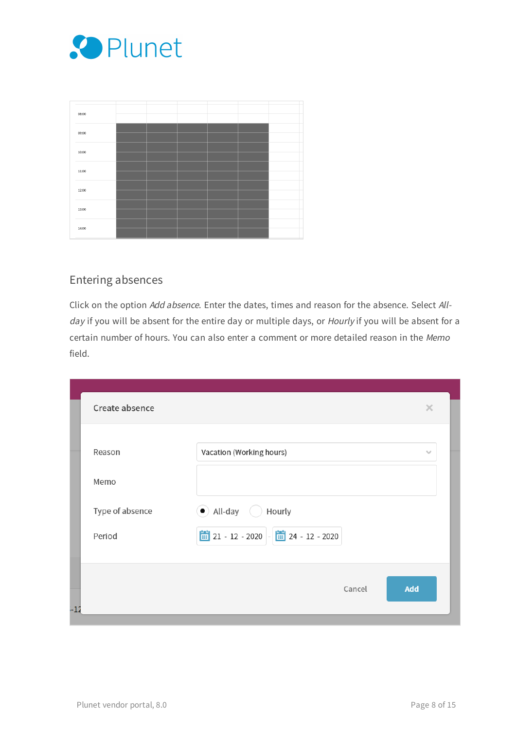

| 08:00 |  |  |  |
|-------|--|--|--|
|       |  |  |  |
| 09:00 |  |  |  |
|       |  |  |  |
| 10:00 |  |  |  |
|       |  |  |  |
| 11:00 |  |  |  |
|       |  |  |  |
| 12:00 |  |  |  |
|       |  |  |  |
| 13:00 |  |  |  |
|       |  |  |  |
| 14:00 |  |  |  |
|       |  |  |  |

### <span id="page-7-0"></span>Entering absences

Click on the option Add absence. Enter the dates, times and reason for the absence. Select Allday if you will be absent for the entire day or multiple days, or Hourly if you will be absent for a certain number of hours. You can also enter a comment or more detailed reason in the Memo field.

<span id="page-7-1"></span>

| Create absence  | $\times$                                        |  |
|-----------------|-------------------------------------------------|--|
| Reason          | Vacation (Working hours)<br>$\gamma_{\rm eff}$  |  |
| Memo            |                                                 |  |
| Type of absence | $\bullet$ All-day<br>Hourly                     |  |
| Period          | $21 - 12 - 2020$ $ \frac{1}{21}$ 24 - 12 - 2020 |  |
|                 |                                                 |  |
| $-12$           | Cancel<br>Add                                   |  |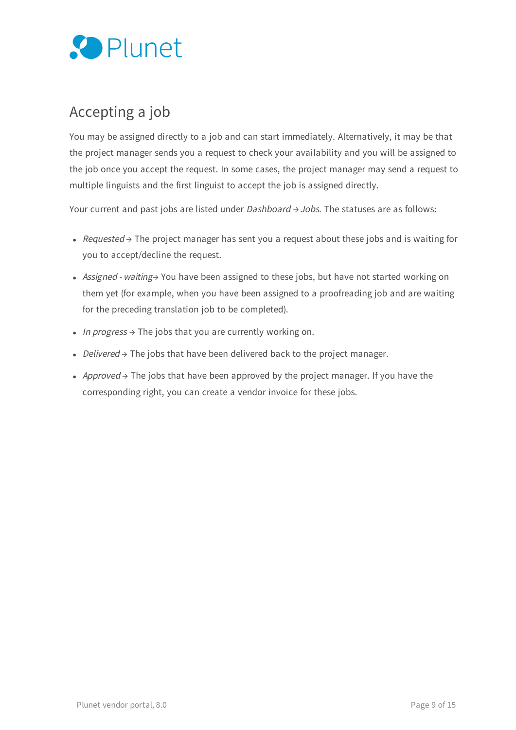

### Accepting a job

You may be assigned directly to a job and can start immediately. Alternatively, it may be that the project manager sends you a request to check your availability and you will be assigned to the job once you accept the request. In some cases, the project manager may send a request to multiple linguists and the first linguist to accept the job is assigned directly.

Your current and past jobs are listed under *Dashboard*  $\rightarrow$  *Jobs*. The statuses are as follows:

- Requested  $\rightarrow$  The project manager has sent you a request about these jobs and is waiting for you to accept/decline the request.
- Assigned waiting→ You have been assigned to these jobs, but have not started working on them yet (for example, when you have been assigned to a proofreading job and are waiting for the preceding translation job to be completed).
- In progress  $\rightarrow$  The jobs that you are currently working on.
- Delivered → The jobs that have been delivered back to the project manager.
- Approved  $\rightarrow$  The jobs that have been approved by the project manager. If you have the corresponding right, you can create a vendor invoice for these jobs.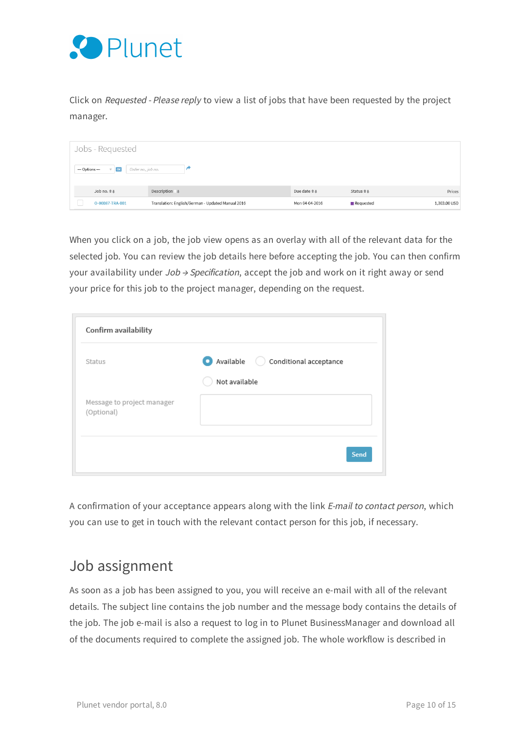

Click on Requested - Please reply to view a list of jobs that have been requested by the project manager.

| Jobs - Requested                                                    |                                                   |                    |           |              |
|---------------------------------------------------------------------|---------------------------------------------------|--------------------|-----------|--------------|
| --- Options ---<br>Order no., job no.<br>$\overline{\mathbf{v}}$ ok |                                                   |                    |           |              |
| Job no. ##                                                          | Description #                                     | Due date <b>↑↓</b> | Status ## | Prices       |
| O-00087-TRA-001                                                     | Translation: English/German - Updated Manual 2016 | Mon 04-04-2016     | Requested | 1,303.00 USD |

When you click on a job, the job view opens as an overlay with all of the relevant data for the selected job. You can review the job details here before accepting the job. You can then confirm your availability under  $Job \rightarrow Specification$ , accept the job and work on it right away or send your price for this job to the project manager, depending on the request.

| Status                                   | Available<br>Conditional acceptance |
|------------------------------------------|-------------------------------------|
|                                          | Not available                       |
| Message to project manager<br>(Optional) |                                     |
|                                          |                                     |

A confirmation of your acceptance appears along with the link E-mail to contact person, which you can use to get in touch with the relevant contact person for this job, if necessary.

### <span id="page-9-0"></span>Job assignment

As soon as a job has been assigned to you, you will receive an e-mail with all of the relevant details. The subject line contains the job number and the message body contains the details of the job. The job e-mail is also a request to log in to Plunet BusinessManager and download all of the documents required to complete the assigned job. The whole workflow is described in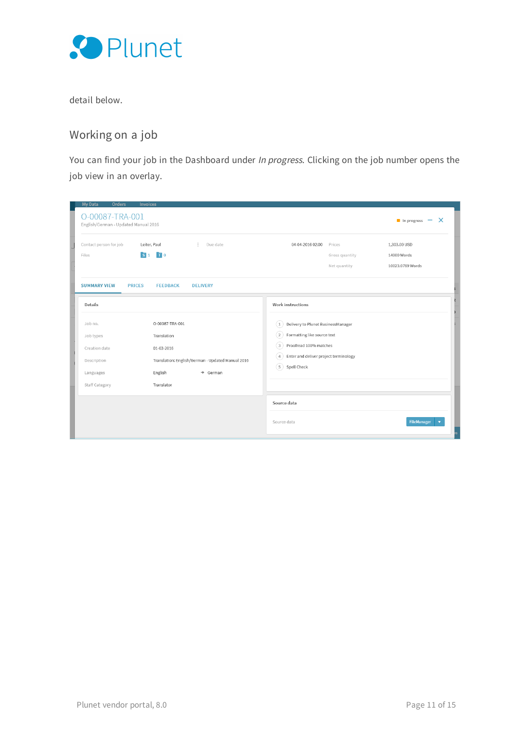

<span id="page-10-0"></span>detail below.

### Working on a job

You can find your job in the Dashboard under In progress. Clicking on the job number opens the job view in an overlay.

| <b>Orders</b><br><b>My Data</b><br>O-00087-TRA-001<br>English/German - Updated Manual 2016 | <b>Invoices</b>                                                                                                                          |                                                                                                                                                                                                                                                                           |                                          | In progress $- x$                               |
|--------------------------------------------------------------------------------------------|------------------------------------------------------------------------------------------------------------------------------------------|---------------------------------------------------------------------------------------------------------------------------------------------------------------------------------------------------------------------------------------------------------------------------|------------------------------------------|-------------------------------------------------|
| Contact person for job<br>S <sub>1</sub><br>Files                                          | Leiter, Paul<br>$\ddot{ }$<br>Due date<br>$\blacksquare$ 0                                                                               | 04-04-2016 02:00                                                                                                                                                                                                                                                          | Prices<br>Gross quantity<br>Net quantity | 1,303.00 USD<br>14000 Words<br>10023.0769 Words |
| <b>PRICES</b><br><b>SUMMARY VIEW</b><br>Details                                            | <b>FEEDBACK</b><br><b>DELIVERY</b>                                                                                                       | Work instructions                                                                                                                                                                                                                                                         |                                          |                                                 |
| Job no.<br>Job types<br>Creation date<br>Description<br>Languages<br>Staff Category        | O-00087-TRA-001<br>Translation<br>01-03-2016<br>Translation: English/German - Updated Manual 2016<br>English<br>$+$ German<br>Translator | Delivery to Plunet BusinessManager<br>(1)<br>Formatting like source text<br>(2)<br>Proofread 100% matches<br>$\mathbf{3}$<br>Enter and deliver project terminology<br>$\mathcal{A}% _{0}=\mathcal{A}_{\mathrm{CL}}\otimes\mathcal{A}_{\mathrm{CL}}$<br>(5)<br>Spell Check |                                          |                                                 |
|                                                                                            |                                                                                                                                          | Source data<br>Source data                                                                                                                                                                                                                                                |                                          | <b>FileManager</b>                              |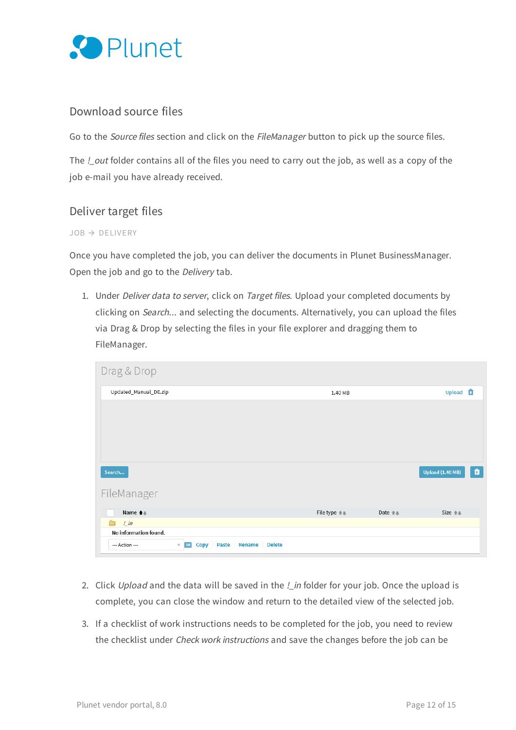

#### <span id="page-11-0"></span>Download source files

Go to the Source files section and click on the FileManager button to pick up the source files.

<span id="page-11-1"></span>The *!\_out* folder contains all of the files you need to carry out the job, as well as a copy of the job e-mail you have already received.

#### Deliver target files

#### $JOB \rightarrow DELIVERY$

Once you have completed the job, you can deliver the documents in Plunet BusinessManager. Open the job and go to the Delivery tab.

1. Under Deliver data to server, click on Target files. Upload your completed documents by clicking on Search... and selecting the documents. Alternatively, you can upload the files via Drag & Drop by selecting the files in your file explorer and dragging them to FileManager.

| Drag & Drop                                                                                        |                                  |                              |
|----------------------------------------------------------------------------------------------------|----------------------------------|------------------------------|
| Updated_Manual_DE.zip                                                                              | 1.40 MB                          | Upload <b>ft</b>             |
|                                                                                                    |                                  |                              |
|                                                                                                    |                                  |                              |
|                                                                                                    |                                  |                              |
|                                                                                                    |                                  |                              |
|                                                                                                    |                                  |                              |
| Search                                                                                             |                                  | û<br><b>Upload (1.40 MB)</b> |
| FileManager                                                                                        |                                  |                              |
| Name $\spadesuit$ .                                                                                | File type $+$<br>Date $\text{#}$ | Size $\hat{+}\hat{+}$        |
| උ<br>$\frac{1}{2}$ in                                                                              |                                  |                              |
| No information found.                                                                              |                                  |                              |
| <b>Delete</b><br>--- Action ---<br>Paste<br>Rename<br><b>Copy</b><br>OK<br>$\overline{\mathbf{v}}$ |                                  |                              |

- 2. Click Upload and the data will be saved in the ! in folder for your job. Once the upload is complete, you can close the window and return to the detailed view of the selected job.
- 3. If a checklist of work instructions needs to be completed for the job, you need to review the checklist under Check work instructions and save the changes before the job can be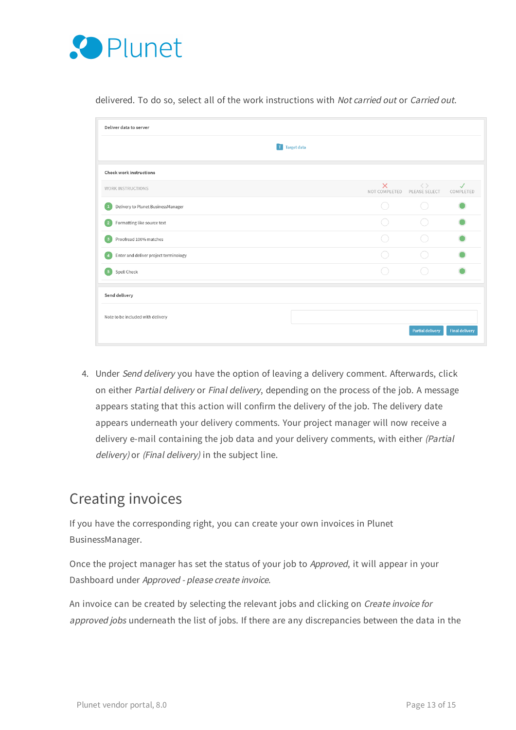

|                                        | T Target data |                                         |                     |                           |
|----------------------------------------|---------------|-----------------------------------------|---------------------|---------------------------|
| <b>Check work instructions</b>         |               |                                         |                     |                           |
| WORK INSTRUCTIONS                      |               | $\times$<br>NOT COMPLETED PLEASE SELECT | $\langle \ \rangle$ | $\checkmark$<br>COMPLETED |
| Delivery to Plunet BusinessManager     |               | $\mathcal{L}$                           |                     |                           |
| Formatting like source text            |               |                                         |                     |                           |
| Proofread 100% matches<br>$\mathbf{3}$ |               |                                         |                     |                           |
| Enter and deliver project terminology  |               |                                         |                     |                           |
| Spell Check                            |               |                                         |                     |                           |
| Send delivery                          |               |                                         |                     |                           |
| Note to be included with delivery      |               |                                         |                     |                           |

delivered. To do so, select all of the work instructions with Not carried out or Carried out.

4. Under Send delivery you have the option of leaving a delivery comment. Afterwards, click on either Partial delivery or Final delivery, depending on the process of the job. A message appears stating that this action will confirm the delivery of the job. The delivery date appears underneath your delivery comments. Your project manager will now receive a delivery e-mail containing the job data and your delivery comments, with either (Partial delivery) or (Final delivery) in the subject line.

### <span id="page-12-0"></span>Creating invoices

If you have the corresponding right, you can create your own invoices in Plunet BusinessManager.

Once the project manager has set the status of your job to Approved, it will appear in your Dashboard under Approved - please create invoice.

An invoice can be created by selecting the relevant jobs and clicking on Create invoice for approved jobs underneath the list of jobs. If there are any discrepancies between the data in the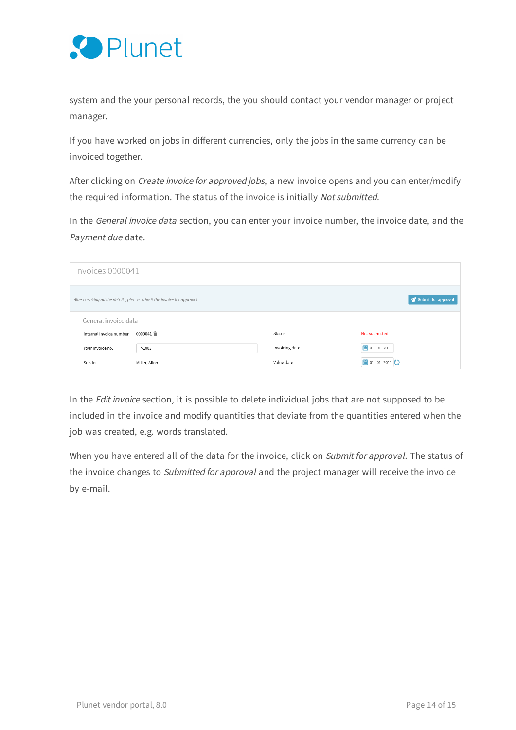

system and the your personal records, the you should contact your vendor manager or project manager.

If you have worked on jobs in different currencies, only the jobs in the same currency can be invoiced together.

After clicking on *Create invoice for approved jobs*, a new invoice opens and you can enter/modify the required information. The status of the invoice is initially Not submitted.

In the General invoice data section, you can enter your invoice number, the invoice date, and the Payment due date.

| Invoices 0000041                                                                               |               |                |                                |  |  |
|------------------------------------------------------------------------------------------------|---------------|----------------|--------------------------------|--|--|
| Submit for approval<br>After checking all the details, please submit the invoice for approval. |               |                |                                |  |  |
| General invoice data                                                                           |               |                |                                |  |  |
| Internal invoice number                                                                        | 0000041 合     | Status         | Not submitted                  |  |  |
| Your invoice no.                                                                               | P-1003        | Invoicing date | $\frac{1}{100}$ 01 - 01 - 2017 |  |  |
| Sender                                                                                         | Miller, Allan | Value date     | □ 01 - 01 - 2017 ●             |  |  |

In the Edit invoice section, it is possible to delete individual jobs that are not supposed to be included in the invoice and modify quantities that deviate from the quantities entered when the job was created, e.g. words translated.

When you have entered all of the data for the invoice, click on Submit for approval. The status of the invoice changes to Submitted for approval and the project manager will receive the invoice by e-mail.